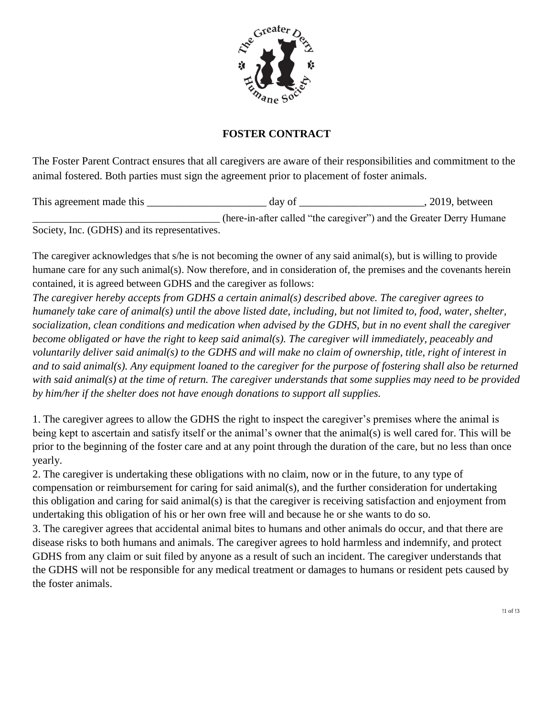

## **FOSTER CONTRACT**

The Foster Parent Contract ensures that all caregivers are aware of their responsibilities and commitment to the animal fostered. Both parties must sign the agreement prior to placement of foster animals.

This agreement made this \_\_\_\_\_\_\_\_\_\_\_\_\_\_\_\_\_\_\_\_\_\_ day of \_\_\_\_\_\_\_\_\_\_\_\_\_\_\_\_\_\_\_\_\_\_\_, 2019, between \_\_\_\_\_\_\_\_\_\_\_\_\_\_\_\_\_\_\_\_\_\_\_\_\_\_\_\_\_\_\_\_\_\_\_\_ (here-in-after called "the caregiver") and the Greater Derry Humane Society, Inc. (GDHS) and its representatives.

The caregiver acknowledges that s/he is not becoming the owner of any said animal(s), but is willing to provide humane care for any such animal(s). Now therefore, and in consideration of, the premises and the covenants herein contained, it is agreed between GDHS and the caregiver as follows:

*The caregiver hereby accepts from GDHS a certain animal(s) described above. The caregiver agrees to humanely take care of animal(s) until the above listed date, including, but not limited to, food, water, shelter, socialization, clean conditions and medication when advised by the GDHS, but in no event shall the caregiver become obligated or have the right to keep said animal(s). The caregiver will immediately, peaceably and voluntarily deliver said animal(s) to the GDHS and will make no claim of ownership, title, right of interest in and to said animal(s). Any equipment loaned to the caregiver for the purpose of fostering shall also be returned with said animal(s) at the time of return. The caregiver understands that some supplies may need to be provided by him/her if the shelter does not have enough donations to support all supplies.*

1. The caregiver agrees to allow the GDHS the right to inspect the caregiver's premises where the animal is being kept to ascertain and satisfy itself or the animal's owner that the animal(s) is well cared for. This will be prior to the beginning of the foster care and at any point through the duration of the care, but no less than once yearly.

2. The caregiver is undertaking these obligations with no claim, now or in the future, to any type of compensation or reimbursement for caring for said animal(s), and the further consideration for undertaking this obligation and caring for said animal(s) is that the caregiver is receiving satisfaction and enjoyment from undertaking this obligation of his or her own free will and because he or she wants to do so.

3. The caregiver agrees that accidental animal bites to humans and other animals do occur, and that there are disease risks to both humans and animals. The caregiver agrees to hold harmless and indemnify, and protect GDHS from any claim or suit filed by anyone as a result of such an incident. The caregiver understands that the GDHS will not be responsible for any medical treatment or damages to humans or resident pets caused by the foster animals.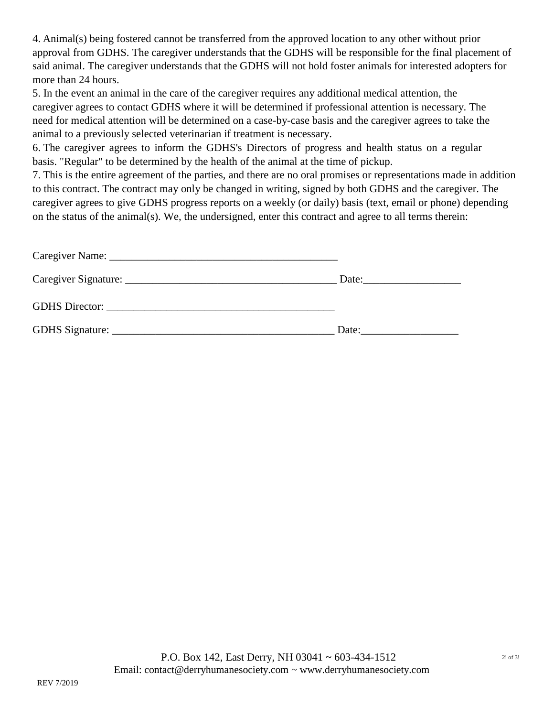4. Animal(s) being fostered cannot be transferred from the approved location to any other without prior approval from GDHS. The caregiver understands that the GDHS will be responsible for the final placement of said animal. The caregiver understands that the GDHS will not hold foster animals for interested adopters for more than 24 hours.

5. In the event an animal in the care of the caregiver requires any additional medical attention, the caregiver agrees to contact GDHS where it will be determined if professional attention is necessary. The need for medical attention will be determined on a case-by-case basis and the caregiver agrees to take the animal to a previously selected veterinarian if treatment is necessary.

6. The caregiver agrees to inform the GDHS's Directors of progress and health status on a regular basis. "Regular" to be determined by the health of the animal at the time of pickup.

7. This is the entire agreement of the parties, and there are no oral promises or representations made in addition to this contract. The contract may only be changed in writing, signed by both GDHS and the caregiver. The caregiver agrees to give GDHS progress reports on a weekly (or daily) basis (text, email or phone) depending on the status of the animal(s). We, the undersigned, enter this contract and agree to all terms therein:

| Date: $\qquad \qquad$ |
|-----------------------|
|                       |
| Date:                 |